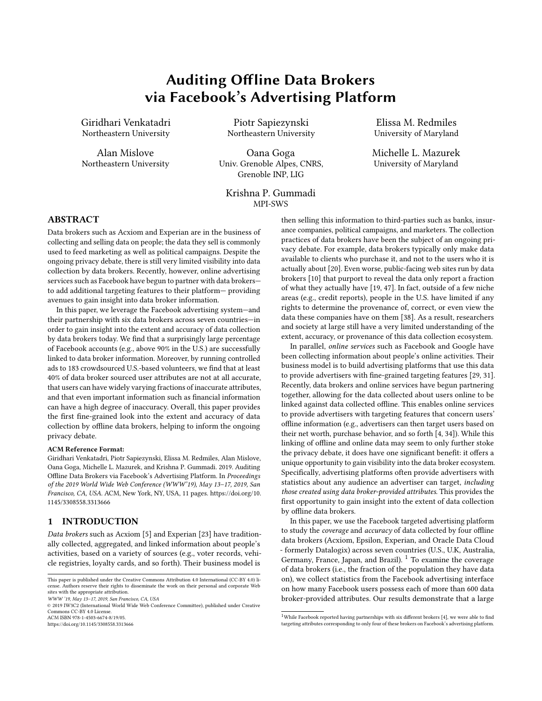# Auditing Offline Data Brokers via Facebook's Advertising Platform

Giridhari Venkatadri Northeastern University

Alan Mislove Northeastern University

Piotr Sapiezynski Northeastern University

Oana Goga Univ. Grenoble Alpes, CNRS, Grenoble INP, LIG

Elissa M. Redmiles University of Maryland

Michelle L. Mazurek University of Maryland

Krishna P. Gummadi MPI-SWS

# ABSTRACT

Data brokers such as Acxiom and Experian are in the business of collecting and selling data on people; the data they sell is commonly used to feed marketing as well as political campaigns. Despite the ongoing privacy debate, there is still very limited visibility into data collection by data brokers. Recently, however, online advertising services such as Facebook have begun to partner with data brokers to add additional targeting features to their platform— providing avenues to gain insight into data broker information.

In this paper, we leverage the Facebook advertising system—and their partnership with six data brokers across seven countries—in order to gain insight into the extent and accuracy of data collection by data brokers today. We find that a surprisingly large percentage of Facebook accounts (e.g., above 90% in the U.S.) are successfully linked to data broker information. Moreover, by running controlled ads to 183 crowdsourced U.S.-based volunteers, we find that at least 40% of data broker sourced user attributes are not at all accurate, that users can have widely varying fractions of inaccurate attributes, and that even important information such as financial information can have a high degree of inaccuracy. Overall, this paper provides the first fine-grained look into the extent and accuracy of data collection by offline data brokers, helping to inform the ongoing privacy debate.

#### ACM Reference Format:

Giridhari Venkatadri, Piotr Sapiezynski, Elissa M. Redmiles, Alan Mislove, Oana Goga, Michelle L. Mazurek, and Krishna P. Gummadi. 2019. Auditing Offline Data Brokers via Facebook's Advertising Platform. In Proceedings of the 2019 World Wide Web Conference (WWW'19), May 13–17, 2019, San Francisco, CA, USA. ACM, New York, NY, USA, [11](#page-10-0) pages. [https://doi.org/10.](https://doi.org/10.1145/3308558.3313666) [1145/3308558.3313666](https://doi.org/10.1145/3308558.3313666)

# 1 INTRODUCTION

Data brokers such as Acxiom [\[5\]](#page-10-1) and Experian [\[23\]](#page-10-2) have traditionally collected, aggregated, and linked information about people's activities, based on a variety of sources (e.g., voter records, vehicle registries, loyalty cards, and so forth). Their business model is

© 2019 IW3C2 (International World Wide Web Conference Committee), published under Creative Commons CC-BY 4.0 License. ACM ISBN 978-1-4503-6674-8/19/05.

<https://doi.org/10.1145/3308558.3313666>

then selling this information to third-parties such as banks, insurance companies, political campaigns, and marketers. The collection practices of data brokers have been the subject of an ongoing privacy debate. For example, data brokers typically only make data available to clients who purchase it, and not to the users who it is actually about [\[20\]](#page-10-3). Even worse, public-facing web sites run by data brokers [\[10\]](#page-10-4) that purport to reveal the data only report a fraction of what they actually have [\[19,](#page-10-5) [47\]](#page-10-6). In fact, outside of a few niche areas (e.g., credit reports), people in the U.S. have limited if any rights to determine the provenance of, correct, or even view the data these companies have on them [\[38\]](#page-10-7). As a result, researchers and society at large still have a very limited understanding of the extent, accuracy, or provenance of this data collection ecosystem.

In parallel, online services such as Facebook and Google have been collecting information about people's online activities. Their business model is to build advertising platforms that use this data to provide advertisers with fine-grained targeting features [\[29,](#page-10-8) [31\]](#page-10-9). Recently, data brokers and online services have begun partnering together, allowing for the data collected about users online to be linked against data collected offline. This enables online services to provide advertisers with targeting features that concern users' offline information (e.g., advertisers can then target users based on their net worth, purchase behavior, and so forth [\[4,](#page-10-10) [34\]](#page-10-11)). While this linking of offline and online data may seem to only further stoke the privacy debate, it does have one significant benefit: it offers a unique opportunity to gain visibility into the data broker ecosystem. Specifically, advertising platforms often provide advertisers with statistics about any audience an advertiser can target, including those created using data broker-provided attributes. This provides the first opportunity to gain insight into the extent of data collection by offline data brokers.

In this paper, we use the Facebook targeted advertising platform to study the coverage and accuracy of data collected by four offline data brokers (Acxiom, Epsilon, Experian, and Oracle Data Cloud - formerly Datalogix) across seven countries (U.S., U.K, Australia, Germany, France, Japan, and Brazil).  $1$  To examine the coverage of data brokers (i.e., the fraction of the population they have data on), we collect statistics from the Facebook advertising interface on how many Facebook users possess each of more than 600 data broker-provided attributes. Our results demonstrate that a large

This paper is published under the Creative Commons Attribution 4.0 International (CC-BY 4.0) license. Authors reserve their rights to disseminate the work on their personal and corporate Web sites with the appropriate attribution.

WWW '19, May 13–17, 2019, San Francisco, CA, USA

<span id="page-0-0"></span><sup>&</sup>lt;sup>1</sup>While Facebook reported having partnerships with six different brokers [\[4\]](#page-10-10), we were able to find targeting attributes corresponding to only four of these brokers on Facebook's advertising platform.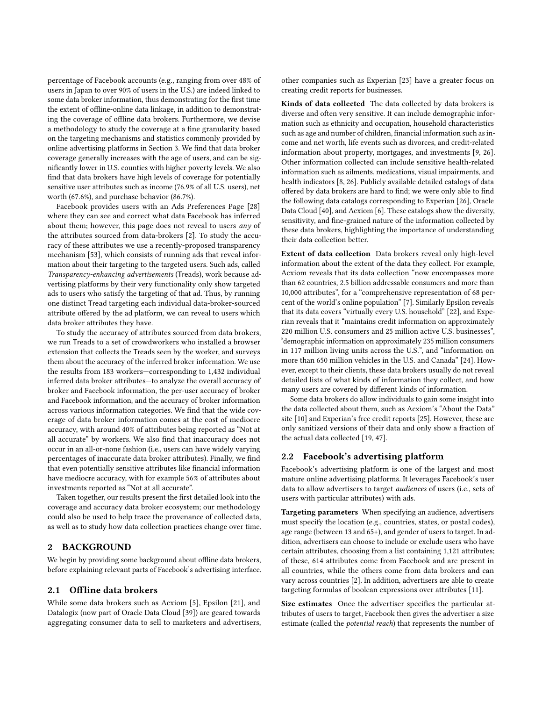percentage of Facebook accounts (e.g., ranging from over 48% of users in Japan to over 90% of users in the U.S.) are indeed linked to some data broker information, thus demonstrating for the first time the extent of offline-online data linkage, in addition to demonstrating the coverage of offline data brokers. Furthermore, we devise a methodology to study the coverage at a fine granularity based on the targeting mechanisms and statistics commonly provided by online advertising platforms in Section [3.](#page-3-0) We find that data broker coverage generally increases with the age of users, and can be significantly lower in U.S. counties with higher poverty levels. We also find that data brokers have high levels of coverage for potentially sensitive user attributes such as income (76.9% of all U.S. users), net worth (67.6%), and purchase behavior (86.7%).

Facebook provides users with an Ads Preferences Page [\[28\]](#page-10-12) where they can see and correct what data Facebook has inferred about them; however, this page does not reveal to users any of the attributes sourced from data-brokers [\[2\]](#page-10-13). To study the accuracy of these attributes we use a recently-proposed transparency mechanism [\[53\]](#page-10-14), which consists of running ads that reveal information about their targeting to the targeted users. Such ads, called Transparency-enhancing advertisements (Treads), work because advertising platforms by their very functionality only show targeted ads to users who satisfy the targeting of that ad. Thus, by running one distinct Tread targeting each individual data-broker-sourced attribute offered by the ad platform, we can reveal to users which data broker attributes they have.

To study the accuracy of attributes sourced from data brokers, we run Treads to a set of crowdworkers who installed a browser extension that collects the Treads seen by the worker, and surveys them about the accuracy of the inferred broker information. We use the results from 183 workers—corresponding to 1,432 individual inferred data broker attributes—to analyze the overall accuracy of broker and Facebook information, the per-user accuracy of broker and Facebook information, and the accuracy of broker information across various information categories. We find that the wide coverage of data broker information comes at the cost of mediocre accuracy, with around 40% of attributes being reported as "Not at all accurate" by workers. We also find that inaccuracy does not occur in an all-or-none fashion (i.e., users can have widely varying percentages of inaccurate data broker attributes). Finally, we find that even potentially sensitive attributes like financial information have mediocre accuracy, with for example 56% of attributes about investments reported as "Not at all accurate".

Taken together, our results present the first detailed look into the coverage and accuracy data broker ecosystem; our methodology could also be used to help trace the provenance of collected data, as well as to study how data collection practices change over time.

#### <span id="page-1-0"></span>2 BACKGROUND

We begin by providing some background about offline data brokers, before explaining relevant parts of Facebook's advertising interface.

#### 2.1 Offline data brokers

While some data brokers such as Acxiom [\[5\]](#page-10-1), Epsilon [\[21\]](#page-10-15), and Datalogix (now part of Oracle Data Cloud [\[39\]](#page-10-16)) are geared towards aggregating consumer data to sell to marketers and advertisers, other companies such as Experian [\[23\]](#page-10-2) have a greater focus on creating credit reports for businesses.

Kinds of data collected The data collected by data brokers is diverse and often very sensitive. It can include demographic information such as ethnicity and occupation, household characteristics such as age and number of children, financial information such as income and net worth, life events such as divorces, and credit-related information about property, mortgages, and investments [\[9,](#page-10-17) [26\]](#page-10-18). Other information collected can include sensitive health-related information such as ailments, medications, visual impairments, and health indicators [\[8,](#page-10-19) [26\]](#page-10-18). Publicly available detailed catalogs of data offered by data brokers are hard to find; we were only able to find the following data catalogs corresponding to Experian [\[26\]](#page-10-18), Oracle Data Cloud [\[40\]](#page-10-20), and Acxiom [\[6\]](#page-10-21). These catalogs show the diversity, sensitivity, and fine-grained nature of the information collected by these data brokers, highlighting the importance of understanding their data collection better.

Extent of data collection Data brokers reveal only high-level information about the extent of the data they collect. For example, Acxiom reveals that its data collection "now encompasses more than 62 countries, 2.5 billion addressable consumers and more than 10,000 attributes", for a "comprehensive representation of 68 percent of the world's online population" [\[7\]](#page-10-22). Similarly Epsilon reveals that its data covers "virtually every U.S. household" [\[22\]](#page-10-23), and Experian reveals that it "maintains credit information on approximately 220 million U.S. consumers and 25 million active U.S. businesses", "demographic information on approximately 235 million consumers in 117 million living units across the U.S.", and "information on more than 650 million vehicles in the U.S. and Canada" [\[24\]](#page-10-24). However, except to their clients, these data brokers usually do not reveal detailed lists of what kinds of information they collect, and how many users are covered by different kinds of information.

Some data brokers do allow individuals to gain some insight into the data collected about them, such as Acxiom's "About the Data" site [\[10\]](#page-10-4) and Experian's free credit reports [\[25\]](#page-10-25). However, these are only sanitized versions of their data and only show a fraction of the actual data collected [\[19,](#page-10-5) [47\]](#page-10-6).

#### 2.2 Facebook's advertising platform

Facebook's advertising platform is one of the largest and most mature online advertising platforms. It leverages Facebook's user data to allow advertisers to target audiences of users (i.e., sets of users with particular attributes) with ads.

Targeting parameters When specifying an audience, advertisers must specify the location (e.g., countries, states, or postal codes), age range (between 13 and 65+), and gender of users to target. In addition, advertisers can choose to include or exclude users who have certain attributes, choosing from a list containing 1,121 attributes; of these, 614 attributes come from Facebook and are present in all countries, while the others come from data brokers and can vary across countries [\[2\]](#page-10-13). In addition, advertisers are able to create targeting formulas of boolean expressions over attributes [\[11\]](#page-10-26).

Size estimates Once the advertiser specifies the particular attributes of users to target, Facebook then gives the advertiser a size estimate (called the *potential reach*) that represents the number of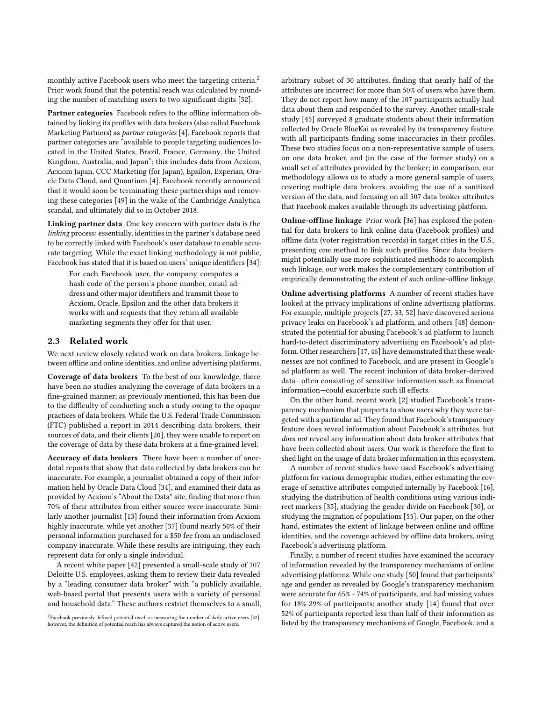monthly active Facebook users who meet the targeting criteria.<sup>[2](#page-2-0)</sup> Prior work found that the potential reach was calculated by rounding the number of matching users to two significant digits [\[52\]](#page-10-27).

Partner categories Facebook refers to the offline information obtained by linking its profiles with data brokers (also called Facebook Marketing Partners) as partner categories [\[4\]](#page-10-10). Facebook reports that partner categories are "available to people targeting audiences located in the United States, Brazil, France, Germany, the United Kingdom, Australia, and Japan"; this includes data from Acxiom, Acxiom Japan, CCC Marketing (for Japan), Epsilon, Experian, Oracle Data Cloud, and Quantium [\[4\]](#page-10-10). Facebook recently announced that it would soon be terminating these partnerships and removing these categories [\[49\]](#page-10-28) in the wake of the Cambridge Analytica scandal, and ultimately did so in October 2018.

Linking partner data One key concern with partner data is the linking process: essentially, identities in the partner's database need to be correctly linked with Facebook's user database to enable accurate targeting. While the exact linking methodology is not public, Facebook has stated that it is based on users' unique identifiers [\[34\]](#page-10-11):

For each Facebook user, the company computes a hash code of the person's phone number, email address and other major identifiers and transmit those to Acxiom, Oracle, Epsilon and the other data brokers it works with and requests that they return all available marketing segments they offer for that user.

#### 2.3 Related work

We next review closely related work on data brokers, linkage between offline and online identities, and online advertising platforms.

Coverage of data brokers To the best of our knowledge, there have been no studies analyzing the coverage of data brokers in a fine-grained manner; as previously mentioned, this has been due to the difficulty of conducting such a study owing to the opaque practices of data brokers. While the U.S. Federal Trade Commission (FTC) published a report in 2014 describing data brokers, their sources of data, and their clients [\[20\]](#page-10-3), they were unable to report on the coverage of data by these data brokers at a fine-grained level.

Accuracy of data brokers There have been a number of anecdotal reports that show that data collected by data brokers can be inaccurate. For example, a journalist obtained a copy of their information held by Oracle Data Cloud [\[34\]](#page-10-11), and examined their data as provided by Acxiom's "About the Data" site, finding that more than 70% of their attributes from either source were inaccurate. Similarly another journalist [\[13\]](#page-10-29) found their information from Acxiom highly inaccurate, while yet another [\[37\]](#page-10-30) found nearly 50% of their personal information purchased for a \$50 fee from an undisclosed company inaccurate. While these results are intriguing, they each represent data for only a single individual.

A recent white paper [\[42\]](#page-10-31) presented a small-scale study of 107 Deloitte U.S. employees, asking them to review their data revealed by a "leading consumer data broker" with "a publicly available, web-based portal that presents users with a variety of personal and household data." These authors restrict themselves to a small, arbitrary subset of 30 attributes, finding that nearly half of the attributes are incorrect for more than 50% of users who have them. They do not report how many of the 107 participants actually had data about them and responded to the survey. Another small-scale study [\[45\]](#page-10-32) surveyed 8 graduate students about their information collected by Oracle BlueKai as revealed by its transparency feature, with all participants finding some inaccuracies in their profiles. These two studies focus on a non-representative sample of users, on one data broker, and (in the case of the former study) on a small set of attributes provided by the broker; in comparison, our methodology allows us to study a more general sample of users, covering multiple data brokers, avoiding the use of a sanitized version of the data, and focusing on all 507 data broker attributes that Facebook makes available through its advertising platform.

Online-offline linkage Prior work [\[36\]](#page-10-33) has explored the potential for data brokers to link online data (Facebook profiles) and offline data (voter registration records) in target cities in the U.S., presenting one method to link such profiles. Since data brokers might potentially use more sophisticated methods to accomplish such linkage, our work makes the complementary contribution of empirically demonstrating the extent of such online-offline linkage.

Online advertising platforms A number of recent studies have looked at the privacy implications of online advertising platforms. For example, multiple projects [\[27,](#page-10-34) [33,](#page-10-35) [52\]](#page-10-27) have discovered serious privacy leaks on Facebook's ad platform, and others [\[48\]](#page-10-36) demonstrated the potential for abusing Facebook's ad platform to launch hard-to-detect discriminatory advertising on Facebook's ad platform. Other researchers [\[17,](#page-10-37) [46\]](#page-10-38) have demonstrated that these weaknesses are not confined to Facebook, and are present in Google's ad platform as well. The recent inclusion of data broker-derived data—often consisting of sensitive information such as financial information—could exacerbate such ill effects.

On the other hand, recent work [\[2\]](#page-10-13) studied Facebook's transparency mechanism that purports to show users why they were targeted with a particular ad. They found that Facebook's transparency feature does reveal information about Facebook's attributes, but does not reveal any information about data broker attributes that have been collected about users. Our work is therefore the first to shed light on the usage of data broker information in this ecosystem.

A number of recent studies have used Facebook's advertising platform for various demographic studies, either estimating the coverage of sensitive attributes computed internally by Facebook [\[16\]](#page-10-39), studying the distribution of health conditions using various indirect markers [\[35\]](#page-10-40), studying the gender divide on Facebook [\[30\]](#page-10-41), or studying the migration of populations [\[55\]](#page-10-42). Our paper, on the other hand, estimates the extent of linkage between online and offline identities, and the coverage achieved by offline data brokers, using Facebook's advertising platform.

Finally, a number of recent studies have examined the accuracy of information revealed by the transparency mechanisms of online advertising platforms. While one study [\[50\]](#page-10-43) found that participants' age and gender as revealed by Google's transparency mechanism were accurate for 65% - 74% of participants, and had missing values for 18%-29% of participants; another study [\[14\]](#page-10-44) found that over 52% of participants reported less than half of their information as listed by the transparency mechanisms of Google, Facebook, and a

<span id="page-2-0"></span> $^2$ Facebook previously defined potential reach as measuring the number of *daily* active users [\[52\]](#page-10-27); however, the definition of potential reach has always captured the notion of active users.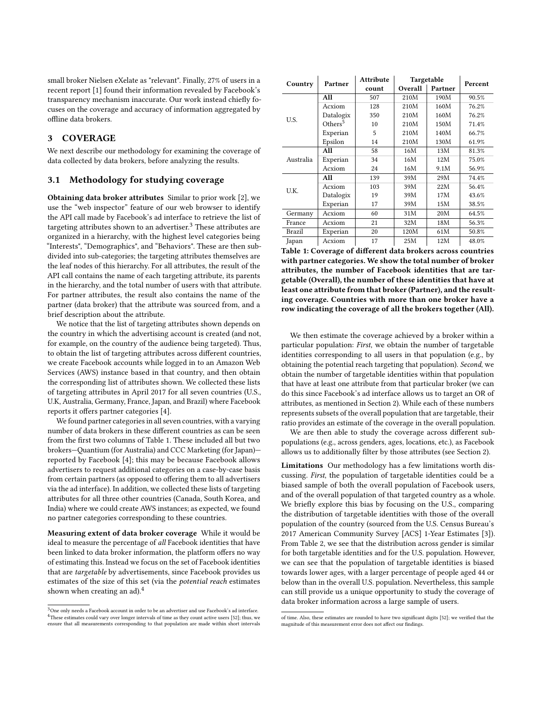small broker Nielsen eXelate as "relevant". Finally, 27% of users in a recent report [\[1\]](#page-10-45) found their information revealed by Facebook's transparency mechanism inaccurate. Our work instead chiefly focuses on the coverage and accuracy of information aggregated by offline data brokers.

# <span id="page-3-0"></span>3 COVERAGE

We next describe our methodology for examining the coverage of data collected by data brokers, before analyzing the results.

# <span id="page-3-4"></span>3.1 Methodology for studying coverage

Obtaining data broker attributes Similar to prior work [\[2\]](#page-10-13), we use the "web inspector" feature of our web browser to identify the API call made by Facebook's ad interface to retrieve the list of targeting attributes shown to an advertiser.<sup>[3](#page-3-1)</sup> These attributes are organized in a hierarchy, with the highest level categories being "Interests", "Demographics", and "Behaviors". These are then subdivided into sub-categories; the targeting attributes themselves are the leaf nodes of this hierarchy. For all attributes, the result of the API call contains the name of each targeting attribute, its parents in the hierarchy, and the total number of users with that attribute. For partner attributes, the result also contains the name of the partner (data broker) that the attribute was sourced from, and a brief description about the attribute.

We notice that the list of targeting attributes shown depends on the country in which the advertising account is created (and not, for example, on the country of the audience being targeted). Thus, to obtain the list of targeting attributes across different countries, we create Facebook accounts while logged in to an Amazon Web Services (AWS) instance based in that country, and then obtain the corresponding list of attributes shown. We collected these lists of targeting attributes in April 2017 for all seven countries (U.S., U.K, Australia, Germany, France, Japan, and Brazil) where Facebook reports it offers partner categories [\[4\]](#page-10-10).

We found partner categories in all seven countries, with a varying number of data brokers in these different countries as can be seen from the first two columns of Table [1.](#page-3-2) These included all but two brokers—Quantium (for Australia) and CCC Marketing (for Japan) reported by Facebook [\[4\]](#page-10-10); this may be because Facebook allows advertisers to request additional categories on a case-by-case basis from certain partners (as opposed to offering them to all advertisers via the ad interface). In addition, we collected these lists of targeting attributes for all three other countries (Canada, South Korea, and India) where we could create AWS instances; as expected, we found no partner categories corresponding to these countries.

Measuring extent of data broker coverage While it would be ideal to measure the percentage of all Facebook identities that have been linked to data broker information, the platform offers no way of estimating this. Instead we focus on the set of Facebook identities that are targetable by advertisements, since Facebook provides us estimates of the size of this set (via the potential reach estimates shown when creating an ad).<sup>[4](#page-3-3)</sup>

<span id="page-3-2"></span>

|           | Partner             | <b>Attribute</b> |         | Targetable | Percent |
|-----------|---------------------|------------------|---------|------------|---------|
| Country   |                     | count            | Overall | Partner    |         |
|           | All                 | 507              | 210M    | 190M       | 90.5%   |
|           | Acxiom              | 128              | 210M    | 160M       | 76.2%   |
| U.S.      | Datalogix           | 350              | 210M    | 160M       | 76.2%   |
|           | Others <sup>5</sup> | 10               | 210M    | 150M       | 71.4%   |
|           | Experian            | 5                | 210M    | 140M       | 66.7%   |
|           | Epsilon             | 14               | 210M    | 130M       | 61.9%   |
|           | All                 | 58               | 16M     | 13M        | 81.3%   |
| Australia | Experian            | 34               | 16M     | 12M        | 75.0%   |
|           | Acxiom              | 24               | 16M     | 9.1M       | 56.9%   |
| U.K.      | All                 | 139              | 39M     | 29M        | 74.4%   |
|           | Acxiom              | 103              | 39M     | 22M        | 56.4%   |
|           | Datalogix           | 19               | 39M     | 17M        | 43.6%   |
|           | Experian            | 17               | 39M     | 15M        | 38.5%   |
| Germany   | Acxiom              | 60               | 31M     | 20M        | 64.5%   |
| France    | Acxiom              | 21               | 32M     | 18M        | 56.3%   |
| Brazil    | Experian            | 20               | 120M    | 61M        | 50.8%   |
| Japan     | Acxiom              | 17               | 25M     | 12M        | 48.0%   |

Table 1: Coverage of different data brokers across countries with partner categories. We show the total number of broker attributes, the number of Facebook identities that are targetable (Overall), the number of these identities that have at least one attribute from that broker (Partner), and the resulting coverage. Countries with more than one broker have a row indicating the coverage of all the brokers together (All).

We then estimate the coverage achieved by a broker within a particular population: First, we obtain the number of targetable identities corresponding to all users in that population (e.g., by obtaining the potential reach targeting that population). Second, we obtain the number of targetable identities within that population that have at least one attribute from that particular broker (we can do this since Facebook's ad interface allows us to target an OR of attributes, as mentioned in Section [2\)](#page-1-0). While each of these numbers represents subsets of the overall population that are targetable, their ratio provides an estimate of the coverage in the overall population.

We are then able to study the coverage across different subpopulations (e.g., across genders, ages, locations, etc.), as Facebook allows us to additionally filter by those attributes (see Section [2\)](#page-1-0).

Limitations Our methodology has a few limitations worth discussing. First, the population of targetable identities could be a biased sample of both the overall population of Facebook users, and of the overall population of that targeted country as a whole. We briefly explore this bias by focusing on the U.S., comparing the distribution of targetable identities with those of the overall population of the country (sourced from the U.S. Census Bureau's 2017 American Community Survey [ACS] 1-Year Estimates [\[3\]](#page-10-46)). From Table [2,](#page-4-0) we see that the distribution across gender is similar for both targetable identities and for the U.S. population. However, we can see that the population of targetable identities is biased towards lower ages, with a larger percentage of people aged 44 or below than in the overall U.S. population. Nevertheless, this sample can still provide us a unique opportunity to study the coverage of data broker information across a large sample of users.

<span id="page-3-3"></span><span id="page-3-1"></span> $^3\rm{One}$  only needs a Facebook account in order to be an advertiser and use Facebook's ad interface. <sup>4</sup>These estimates could vary over longer intervals of time as they count active users [\[52\]](#page-10-27); thus, we ensure that all measurements corresponding to that population are made within short intervals

of time. Also, these estimates are rounded to have two significant digits [\[52\]](#page-10-27); we verified that the magnitude of this measurement error does not affect our findings.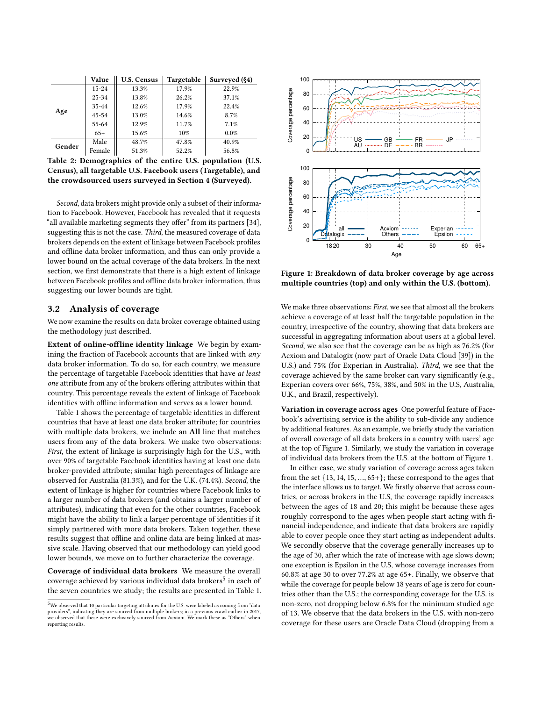<span id="page-4-0"></span>

|        | Value     | <b>U.S. Census</b> | Targetable | Surveyed (§4) |
|--------|-----------|--------------------|------------|---------------|
|        | $15 - 24$ | 13.3%              | 17.9%      | 22.9%         |
|        | $25 - 34$ | 13.8%              | 26.2%      | 37.1%         |
|        | $35 - 44$ | 12.6%              | 17.9%      | 22.4%         |
| Age    | $45 - 54$ | 13.0%              | 14.6%      | 8.7%          |
|        | $55 - 64$ | 12.9%              | 11.7%      | 7.1%          |
|        | $65+$     | 15.6%              | 10%        | 0.0%          |
| Gender | Male      | 48.7%              | 47.8%      | 40.9%         |
|        | Female    | 51.3%              | 52.2%      | 56.8%         |

Table 2: Demographics of the entire U.S. population (U.S. Census), all targetable U.S. Facebook users (Targetable), and the crowdsourced users surveyed in Section [4](#page-5-0) (Surveyed).

Second, data brokers might provide only a subset of their information to Facebook. However, Facebook has revealed that it requests "all available marketing segments they offer" from its partners [\[34\]](#page-10-11), suggesting this is not the case. Third, the measured coverage of data brokers depends on the extent of linkage between Facebook profiles and offline data broker information, and thus can only provide a lower bound on the actual coverage of the data brokers. In the next section, we first demonstrate that there is a high extent of linkage between Facebook profiles and offline data broker information, thus suggesting our lower bounds are tight.

## <span id="page-4-3"></span>3.2 Analysis of coverage

We now examine the results on data broker coverage obtained using the methodology just described.

Extent of online-offline identity linkage We begin by examining the fraction of Facebook accounts that are linked with any data broker information. To do so, for each country, we measure the percentage of targetable Facebook identities that have at least one attribute from any of the brokers offering attributes within that country. This percentage reveals the extent of linkage of Facebook identities with offline information and serves as a lower bound.

Table [1](#page-3-2) shows the percentage of targetable identities in different countries that have at least one data broker attribute; for countries with multiple data brokers, we include an All line that matches users from any of the data brokers. We make two observations: First, the extent of linkage is surprisingly high for the U.S., with over 90% of targetable Facebook identities having at least one data broker-provided attribute; similar high percentages of linkage are observed for Australia (81.3%), and for the U.K. (74.4%). Second, the extent of linkage is higher for countries where Facebook links to a larger number of data brokers (and obtains a larger number of attributes), indicating that even for the other countries, Facebook might have the ability to link a larger percentage of identities if it simply partnered with more data brokers. Taken together, these results suggest that offline and online data are being linked at massive scale. Having observed that our methodology can yield good lower bounds, we move on to further characterize the coverage.

Coverage of individual data brokers We measure the overall  $\,$  coverage achieved by various individual data bro $\,$ kers $^5$  $^5$  in each of the seven countries we study; the results are presented in Table [1.](#page-3-2)

<span id="page-4-2"></span>

Figure 1: Breakdown of data broker coverage by age across multiple countries (top) and only within the U.S. (bottom).

We make three observations: First, we see that almost all the brokers achieve a coverage of at least half the targetable population in the country, irrespective of the country, showing that data brokers are successful in aggregating information about users at a global level. Second, we also see that the coverage can be as high as 76.2% (for Acxiom and Datalogix (now part of Oracle Data Cloud [\[39\]](#page-10-16)) in the U.S.) and 75% (for Experian in Australia). Third, we see that the coverage achieved by the same broker can vary significantly (e.g., Experian covers over 66%, 75%, 38%, and 50% in the U.S, Australia, U.K., and Brazil, respectively).

Variation in coverage across ages One powerful feature of Facebook's advertising service is the ability to sub-divide any audience by additional features. As an example, we briefly study the variation of overall coverage of all data brokers in a country with users' age at the top of Figure [1.](#page-4-2) Similarly, we study the variation in coverage of individual data brokers from the U.S. at the bottom of Figure [1.](#page-4-2)

In either case, we study variation of coverage across ages taken from the set {13, <sup>14</sup>, <sup>15</sup>, ..., <sup>65</sup>+}; these correspond to the ages that the interface allows us to target. We firstly observe that across countries, or across brokers in the U.S, the coverage rapidly increases between the ages of 18 and 20; this might be because these ages roughly correspond to the ages when people start acting with financial independence, and indicate that data brokers are rapidly able to cover people once they start acting as independent adults. We secondly observe that the coverage generally increases up to the age of 30, after which the rate of increase with age slows down; one exception is Epsilon in the U.S, whose coverage increases from 60.8% at age 30 to over 77.2% at age 65+. Finally, we observe that while the coverage for people below 18 years of age is zero for countries other than the U.S.; the corresponding coverage for the U.S. is non-zero, not dropping below 6.8% for the minimum studied age of 13. We observe that the data brokers in the U.S. with non-zero coverage for these users are Oracle Data Cloud (dropping from a

<span id="page-4-1"></span><sup>5</sup>We observed that 10 particular targeting attributes for the U.S. were labeled as coming from "data providers", indicating they are sourced from multiple brokers; in a previous crawl earlier in 2017, we observed that these were exclusively sourced from Acxiom. We mark these as "Others" when reporting results.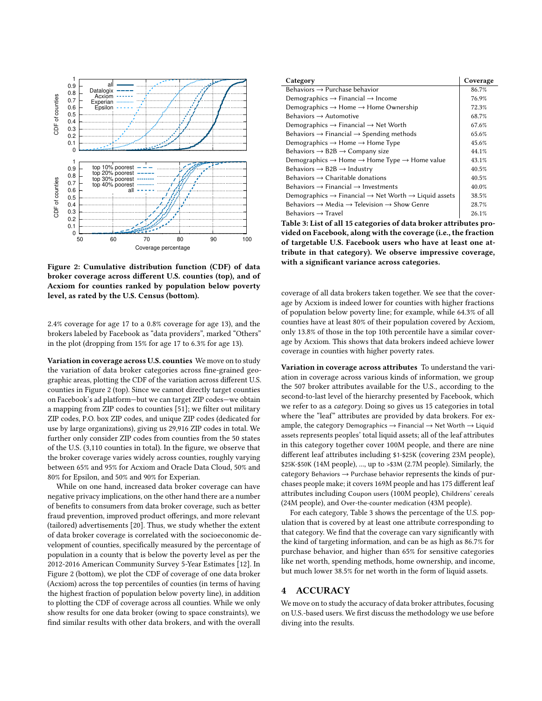<span id="page-5-1"></span>

Figure 2: Cumulative distribution function (CDF) of data broker coverage across different U.S. counties (top), and of Acxiom for counties ranked by population below poverty level, as rated by the U.S. Census (bottom).

2.4% coverage for age 17 to a 0.8% coverage for age 13), and the brokers labeled by Facebook as "data providers", marked "Others" in the plot (dropping from 15% for age 17 to 6.3% for age 13).

Variation in coverage across U.S. counties We move on to study the variation of data broker categories across fine-grained geographic areas, plotting the CDF of the variation across different U.S. counties in Figure [2](#page-5-1) (top). Since we cannot directly target counties on Facebook's ad platform—but we can target ZIP codes—we obtain a mapping from ZIP codes to counties [\[51\]](#page-10-47); we filter out military ZIP codes, P.O. box ZIP codes, and unique ZIP codes (dedicated for use by large organizations), giving us 29,916 ZIP codes in total. We further only consider ZIP codes from counties from the 50 states of the U.S. (3,110 counties in total). In the figure, we observe that the broker coverage varies widely across counties, roughly varying between 65% and 95% for Acxiom and Oracle Data Cloud, 50% and 80% for Epsilon, and 50% and 90% for Experian.

While on one hand, increased data broker coverage can have negative privacy implications, on the other hand there are a number of benefits to consumers from data broker coverage, such as better fraud prevention, improved product offerings, and more relevant (tailored) advertisements [\[20\]](#page-10-3). Thus, we study whether the extent of data broker coverage is correlated with the socioeconomic development of counties, specifically measured by the percentage of population in a county that is below the poverty level as per the 2012-2016 American Community Survey 5-Year Estimates [\[12\]](#page-10-48). In Figure [2](#page-5-1) (bottom), we plot the CDF of coverage of one data broker (Acxiom) across the top percentiles of counties (in terms of having the highest fraction of population below poverty line), in addition to plotting the CDF of coverage across all counties. While we only show results for one data broker (owing to space constraints), we find similar results with other data brokers, and with the overall

<span id="page-5-2"></span>

| Category                                                                                 | Coverage |
|------------------------------------------------------------------------------------------|----------|
| Behaviors $\rightarrow$ Purchase behavior                                                | 86.7%    |
| Demographics $\rightarrow$ Financial $\rightarrow$ Income                                | 76.9%    |
| Demographics $\rightarrow$ Home $\rightarrow$ Home Ownership                             | 72.3%    |
| Behaviors $\rightarrow$ Automotive                                                       | 68.7%    |
| Demographics $\rightarrow$ Financial $\rightarrow$ Net Worth                             | 67.6%    |
| Behaviors $\rightarrow$ Financial $\rightarrow$ Spending methods                         | 65.6%    |
| Demographics $\rightarrow$ Home $\rightarrow$ Home Type                                  | 45.6%    |
| Behaviors $\rightarrow$ B2B $\rightarrow$ Company size                                   | 44.1%    |
| Demographics $\rightarrow$ Home $\rightarrow$ Home Type $\rightarrow$ Home value         | 43.1%    |
| Behaviors $\rightarrow$ B2B $\rightarrow$ Industry                                       | 40.5%    |
| $Behavior \rightarrow Charitable\,$                                                      | 40.5%    |
| Behaviors $\rightarrow$ Financial $\rightarrow$ Investments                              | 40.0%    |
| Demographics $\rightarrow$ Financial $\rightarrow$ Net Worth $\rightarrow$ Liquid assets | 38.5%    |
| Behaviors $\rightarrow$ Media $\rightarrow$ Television $\rightarrow$ Show Genre          | 28.7%    |
| Behaviors $\rightarrow$ Travel                                                           | 26.1%    |

Table 3: List of all 15 categories of data broker attributes provided on Facebook, along with the coverage (i.e., the fraction of targetable U.S. Facebook users who have at least one attribute in that category). We observe impressive coverage, with a significant variance across categories.

coverage of all data brokers taken together. We see that the coverage by Acxiom is indeed lower for counties with higher fractions of population below poverty line; for example, while 64.3% of all counties have at least 80% of their population covered by Acxiom, only 13.8% of those in the top 10th percentile have a similar coverage by Acxiom. This shows that data brokers indeed achieve lower coverage in counties with higher poverty rates.

Variation in coverage across attributes To understand the variation in coverage across various kinds of information, we group the 507 broker attributes available for the U.S., according to the second-to-last level of the hierarchy presented by Facebook, which we refer to as a category. Doing so gives us 15 categories in total where the "leaf" attributes are provided by data brokers. For example, the category Demographics  $\rightarrow$  Financial  $\rightarrow$  Net Worth  $\rightarrow$  Liquid assets represents peoples' total liquid assets; all of the leaf attributes in this category together cover 100M people, and there are nine different leaf attributes including \$1-\$25K (covering 23M people), \$25K-\$50K (14M people), ..., up to >\$3M (2.7M people). Similarly, the category Behaviors  $\rightarrow$  Purchase behavior represents the kinds of purchases people make; it covers 169M people and has 175 different leaf attributes including Coupon users (100M people), Childrens' cereals (24M people), and Over-the-counter medication (43M people).

For each category, Table [3](#page-5-2) shows the percentage of the U.S. population that is covered by at least one attribute corresponding to that category. We find that the coverage can vary significantly with the kind of targeting information, and can be as high as 86.7% for purchase behavior, and higher than 65% for sensitive categories like net worth, spending methods, home ownership, and income, but much lower 38.5% for net worth in the form of liquid assets.

### <span id="page-5-0"></span>4 ACCURACY

We move on to study the accuracy of data broker attributes, focusing on U.S.-based users. We first discuss the methodology we use before diving into the results.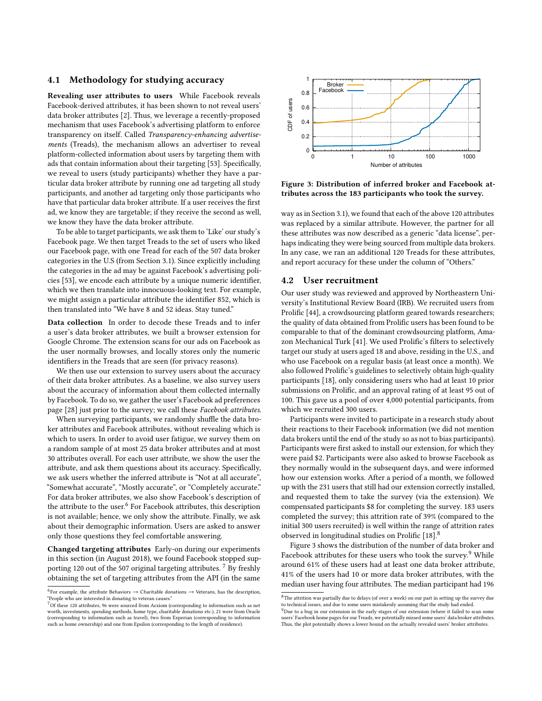# 4.1 Methodology for studying accuracy

Revealing user attributes to users While Facebook reveals Facebook-derived attributes, it has been shown to not reveal users' data broker attributes [\[2\]](#page-10-13). Thus, we leverage a recently-proposed mechanism that uses Facebook's advertising platform to enforce transparency on itself. Called Transparency-enhancing advertisements (Treads), the mechanism allows an advertiser to reveal platform-collected information about users by targeting them with ads that contain information about their targeting [\[53\]](#page-10-14). Specifically, we reveal to users (study participants) whether they have a particular data broker attribute by running one ad targeting all study participants, and another ad targeting only those participants who have that particular data broker attribute. If a user receives the first ad, we know they are targetable; if they receive the second as well, we know they have the data broker attribute.

To be able to target participants, we ask them to 'Like' our study's Facebook page. We then target Treads to the set of users who liked our Facebook page, with one Tread for each of the 507 data broker categories in the U.S (from Section [3.1\)](#page-3-4). Since explicitly including the categories in the ad may be against Facebook's advertising policies [\[53\]](#page-10-14), we encode each attribute by a unique numeric identifier, which we then translate into innocuous-looking text. For example, we might assign a particular attribute the identifier 852, which is then translated into "We have 8 and 52 ideas. Stay tuned."

Data collection In order to decode these Treads and to infer a user's data broker attributes, we built a browser extension for Google Chrome. The extension scans for our ads on Facebook as the user normally browses, and locally stores only the numeric identifiers in the Treads that are seen (for privacy reasons).

We then use our extension to survey users about the accuracy of their data broker attributes. As a baseline, we also survey users about the accuracy of information about them collected internally by Facebook. To do so, we gather the user's Facebook ad preferences page [\[28\]](#page-10-12) just prior to the survey; we call these Facebook attributes.

When surveying participants, we randomly shuffle the data broker attributes and Facebook attributes, without revealing which is which to users. In order to avoid user fatigue, we survey them on a random sample of at most 25 data broker attributes and at most 30 attributes overall. For each user attribute, we show the user the attribute, and ask them questions about its accuracy. Specifically, we ask users whether the inferred attribute is "Not at all accurate", "Somewhat accurate", "Mostly accurate", or "Completely accurate." For data broker attributes, we also show Facebook's description of the attribute to the user.<sup>[6](#page-6-0)</sup> For Facebook attributes, this description is not available; hence, we only show the attribute. Finally, we ask about their demographic information. Users are asked to answer only those questions they feel comfortable answering.

Changed targeting attributes Early-on during our experiments in this section (in August 2018), we found Facebook stopped sup-porting 120 out of the 50[7](#page-6-1) original targeting attributes.<sup>7</sup> By freshly obtaining the set of targeting attributes from the API (in the same

<span id="page-6-3"></span>

Figure 3: Distribution of inferred broker and Facebook attributes across the 183 participants who took the survey.

way as in Section [3.1\)](#page-3-4), we found that each of the above 120 attributes was replaced by a similar attribute. However, the partner for all these attributes was now described as a generic "data license", perhaps indicating they were being sourced from multiple data brokers. In any case, we ran an additional 120 Treads for these attributes, and report accuracy for these under the column of "Others."

#### 4.2 User recruitment

Our user study was reviewed and approved by Northeastern University's Institutional Review Board (IRB). We recruited users from Prolific [\[44\]](#page-10-49), a crowdsourcing platform geared towards researchers; the quality of data obtained from Prolific users has been found to be comparable to that of the dominant crowdsourcing platform, Amazon Mechanical Turk [\[41\]](#page-10-50). We used Prolific's filters to selectively target our study at users aged 18 and above, residing in the U.S., and who use Facebook on a regular basis (at least once a month). We also followed Prolific's guidelines to selectively obtain high-quality participants [\[18\]](#page-10-51), only considering users who had at least 10 prior submissions on Prolific, and an approval rating of at least 95 out of 100. This gave us a pool of over 4,000 potential participants, from which we recruited 300 users.

Participants were invited to participate in a research study about their reactions to their Facebook information (we did not mention data brokers until the end of the study so as not to bias participants). Participants were first asked to install our extension, for which they were paid \$2. Participants were also asked to browse Facebook as they normally would in the subsequent days, and were informed how our extension works. After a period of a month, we followed up with the 231 users that still had our extension correctly installed, and requested them to take the survey (via the extension). We compensated participants \$8 for completing the survey. 183 users completed the survey; this attrition rate of 39% (compared to the initial 300 users recruited) is well within the range of attrition rates observed in longitudinal studies on Prolific [\[18\]](#page-10-51).[8](#page-6-2)

Figure [3](#page-6-3) shows the distribution of the number of data broker and Facebook attributes for these users who took the survey.<sup>[9](#page-6-4)</sup> While around 61% of these users had at least one data broker attribute, 41% of the users had 10 or more data broker attributes, with the median user having four attributes. The median participant had 196

<span id="page-6-0"></span> ${}^{6}$  For example, the attribute Behaviors  $\rightarrow$  Charitable donations  $\rightarrow$  Veterans, has the description, "People who are interested in donating to veteran causes.

<span id="page-6-1"></span><sup>7</sup>Of these 120 attributes, 96 were sourced from Acxiom (corresponding to information such as net worth, investments, spending methods, home type, charitable donations etc.), 21 were from Oracle (corresponding to information such as travel), two from Experian (corresponding to information such as home ownership) and one from Epsilon (corresponding to the length of residence).

<span id="page-6-2"></span> ${}^{8}{\rm The}$  attrition was partially due to delays (of over a week) on our part in setting up the survey due to technical issues, and due to some users mistakenly assuming that the study had ended.

<span id="page-6-4"></span> $9^9$ Due to a bug in our extension in the early stages of our extension (where it failed to scan some users' Facebook home pages for our Treads, we potentially missed some users' data broker attributes. Thus, the plot potentially shows a lower bound on the actually revealed users' broker attributes.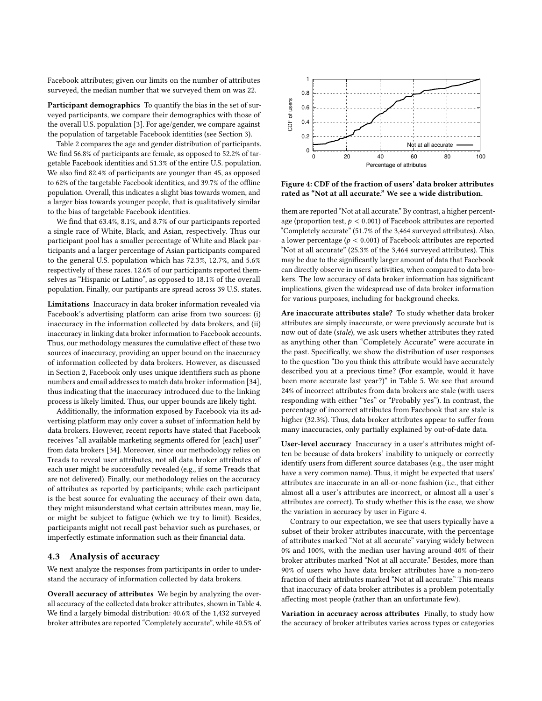Facebook attributes; given our limits on the number of attributes surveyed, the median number that we surveyed them on was 22.

Participant demographics To quantify the bias in the set of surveyed participants, we compare their demographics with those of the overall U.S. population [\[3\]](#page-10-46). For age/gender, we compare against the population of targetable Facebook identities (see Section [3\)](#page-3-0).

Table [2](#page-4-0) compares the age and gender distribution of participants. We find 56.8% of participants are female, as opposed to 52.2% of targetable Facebook identities and 51.3% of the entire U.S. population. We also find 82.4% of participants are younger than 45, as opposed to 62% of the targetable Facebook identities, and 39.7% of the offline population. Overall, this indicates a slight bias towards women, and a larger bias towards younger people, that is qualitatively similar to the bias of targetable Facebook identities.

We find that 63.4%, 8.1%, and 8.7% of our participants reported a single race of White, Black, and Asian, respectively. Thus our participant pool has a smaller percentage of White and Black participants and a larger percentage of Asian participants compared to the general U.S. population which has 72.3%, 12.7%, and 5.6% respectively of these races. 12.6% of our participants reported themselves as "Hispanic or Latino", as opposed to 18.1% of the overall population. Finally, our partipants are spread across 39 U.S. states.

Limitations Inaccuracy in data broker information revealed via Facebook's advertising platform can arise from two sources: (i) inaccuracy in the information collected by data brokers, and (ii) inaccuracy in linking data broker information to Facebook accounts. Thus, our methodology measures the cumulative effect of these two sources of inaccuracy, providing an upper bound on the inaccuracy of information collected by data brokers. However, as discussed in Section [2,](#page-1-0) Facebook only uses unique identifiers such as phone numbers and email addresses to match data broker information [\[34\]](#page-10-11), thus indicating that the inaccuracy introduced due to the linking process is likely limited. Thus, our upper bounds are likely tight.

Additionally, the information exposed by Facebook via its advertising platform may only cover a subset of information held by data brokers. However, recent reports have stated that Facebook receives "all available marketing segments offered for [each] user" from data brokers [\[34\]](#page-10-11). Moreover, since our methodology relies on Treads to reveal user attributes, not all data broker attributes of each user might be successfully revealed (e.g., if some Treads that are not delivered). Finally, our methodology relies on the accuracy of attributes as reported by participants; while each participant is the best source for evaluating the accuracy of their own data, they might misunderstand what certain attributes mean, may lie, or might be subject to fatigue (which we try to limit). Besides, participants might not recall past behavior such as purchases, or imperfectly estimate information such as their financial data.

#### 4.3 Analysis of accuracy

We next analyze the responses from participants in order to understand the accuracy of information collected by data brokers.

Overall accuracy of attributes We begin by analyzing the overall accuracy of the collected data broker attributes, shown in Table [4.](#page-8-0) We find a largely bimodal distribution: 40.6% of the 1,432 surveyed broker attributes are reported "Completely accurate", while 40.5% of

<span id="page-7-0"></span>

Figure 4: CDF of the fraction of users' data broker attributes rated as "Not at all accurate." We see a wide distribution.

them are reported "Not at all accurate." By contrast, a higher percentage (proportion test,  $p < 0.001$ ) of Facebook attributes are reported "Completely accurate" (51.7% of the 3,464 surveyed attributes). Also, a lower percentage ( $p < 0.001$ ) of Facebook attributes are reported "Not at all accurate" (25.3% of the 3,464 surveyed attributes). This may be due to the significantly larger amount of data that Facebook can directly observe in users' activities, when compared to data brokers. The low accuracy of data broker information has significant implications, given the widespread use of data broker information for various purposes, including for background checks.

Are inaccurate attributes stale? To study whether data broker attributes are simply inaccurate, or were previously accurate but is now out of date (stale), we ask users whether attributes they rated as anything other than "Completely Accurate" were accurate in the past. Specifically, we show the distribution of user responses to the question "Do you think this attribute would have accurately described you at a previous time? (For example, would it have been more accurate last year?)" in Table [5.](#page-8-1) We see that around 24% of incorrect attributes from data brokers are stale (with users responding with either "Yes" or "Probably yes"). In contrast, the percentage of incorrect attributes from Facebook that are stale is higher (32.3%). Thus, data broker attributes appear to suffer from many inaccuracies, only partially explained by out-of-date data.

User-level accuracy Inaccuracy in a user's attributes might often be because of data brokers' inability to uniquely or correctly identify users from different source databases (e.g., the user might have a very common name). Thus, it might be expected that users' attributes are inaccurate in an all-or-none fashion (i.e., that either almost all a user's attributes are incorrect, or almost all a user's attributes are correct). To study whether this is the case, we show the variation in accuracy by user in Figure [4.](#page-7-0)

Contrary to our expectation, we see that users typically have a subset of their broker attributes inaccurate, with the percentage of attributes marked "Not at all accurate" varying widely between 0% and 100%, with the median user having around 40% of their broker attributes marked "Not at all accurate." Besides, more than 90% of users who have data broker attributes have a non-zero fraction of their attributes marked "Not at all accurate." This means that inaccuracy of data broker attributes is a problem potentially affecting most people (rather than an unfortunate few).

Variation in accuracy across attributes Finally, to study how the accuracy of broker attributes varies across types or categories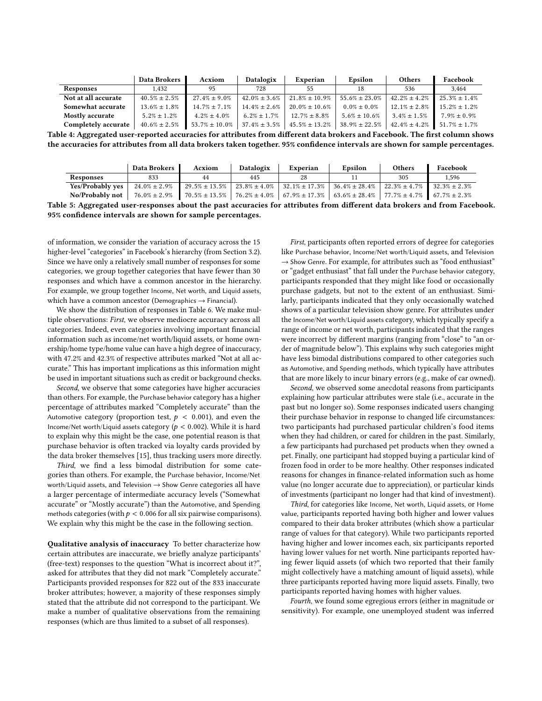<span id="page-8-0"></span>

|                                                                                                                              | Data Brokers       | Acxiom             | Datalogix          | Experian                                                       | Epsilon                                                       | Others             | Facebook           |
|------------------------------------------------------------------------------------------------------------------------------|--------------------|--------------------|--------------------|----------------------------------------------------------------|---------------------------------------------------------------|--------------------|--------------------|
| <b>Responses</b>                                                                                                             | 1.432              | 95                 | 728                | 55                                                             | 18                                                            | 536                | 3.464              |
| Not at all accurate                                                                                                          | $40.5\% \pm 2.5\%$ | $27.4\% \pm 9.0\%$ | $42.0\% \pm 3.6\%$ | $21.8\% \pm 10.9\%$                                            | $55.6\% \pm 23.0\%$                                           | $42.2\% \pm 4.2\%$ | $25.3\% \pm 1.4\%$ |
| Somewhat accurate                                                                                                            | $13.6\% \pm 1.8\%$ | $14.7\% \pm 7.1\%$ | $14.4\% \pm 2.6\%$ | $20.0\% \pm 10.6\%$                                            | $0.0\% \pm 0.0\%$                                             | $12.1\% \pm 2.8\%$ | $15.2\% \pm 1.2\%$ |
| <b>Mostly accurate</b>                                                                                                       | $5.2\% \pm 1.2\%$  | $4.2\% \pm 4.0\%$  | $6.2\% \pm 1.7\%$  | $12.7\% \pm 8.8\%$                                             | $5.6\% \pm 10.6\%$                                            | $3.4\% \pm 1.5\%$  | $7.9\% \pm 0.9\%$  |
| Completely accurate                                                                                                          | $40.6\% \pm 2.5\%$ |                    |                    | $53.7\% \pm 10.0\%$   37.4\% $\pm 3.5\%$   45.5\% $\pm 13.2\%$ | $38.9\% \pm 22.5\%$   $42.4\% \pm 4.2\%$   $51.7\% \pm 1.7\%$ |                    |                    |
| Table 4: Aggregated user-reported accuracies for attributes from different data brokers and Facebook. The first column shows |                    |                    |                    |                                                                |                                                               |                    |                    |

the accuracies for attributes from all data brokers taken together. 95% confidence intervals are shown for sample percentages.

<span id="page-8-1"></span>

|                                                                                                                            | Data Brokers       | Acxiom                                                                                                                         | Datalogix | Experian | Epsilon                                                                                                                        | <b>Others</b> | Facebook |
|----------------------------------------------------------------------------------------------------------------------------|--------------------|--------------------------------------------------------------------------------------------------------------------------------|-----------|----------|--------------------------------------------------------------------------------------------------------------------------------|---------------|----------|
| Responses                                                                                                                  | 833                | 44                                                                                                                             | 445       | 28       |                                                                                                                                | 305           | 1.596    |
| Yes/Probably yes                                                                                                           | $24.0\% \pm 2.9\%$ |                                                                                                                                |           |          | $29.5\% \pm 13.5\%$   $23.8\% \pm 4.0\%$   $32.1\% \pm 17.3\%$   $36.4\% \pm 28.4\%$   $22.3\% \pm 4.7\%$   $32.3\% \pm 2.3\%$ |               |          |
| <b>No/Probably not</b>   76.0% $\pm$ 2.9%                                                                                  |                    | $70.5\% \pm 13.5\%$   $76.2\% \pm 4.0\%$   $67.9\% \pm 17.3\%$   $63.6\% \pm 28.4\%$   $77.7\% \pm 4.7\%$   $67.7\% \pm 2.3\%$ |           |          |                                                                                                                                |               |          |
| Table 5: Aggregated user-responses about the past accuracies for attributes from different data brokers and from Facebook. |                    |                                                                                                                                |           |          |                                                                                                                                |               |          |

95% confidence intervals are shown for sample percentages.

of information, we consider the variation of accuracy across the 15 higher-level "categories" in Facebook's hierarchy (from Section [3.2\)](#page-4-3). Since we have only a relatively small number of responses for some categories, we group together categories that have fewer than 30 responses and which have a common ancestor in the hierarchy. For example, we group together Income, Net worth, and Liquid assets, which have a common ancestor (Demographics  $\rightarrow$  Financial).

We show the distribution of responses in Table [6.](#page-9-0) We make multiple observations: First, we observe mediocre accuracy across all categories. Indeed, even categories involving important financial information such as income/net worth/liquid assets, or home ownership/home type/home value can have a high degree of inaccuracy, with 47.2% and 42.3% of respective attributes marked "Not at all accurate." This has important implications as this information might be used in important situations such as credit or background checks.

Second, we observe that some categories have higher accuracies than others. For example, the Purchase behavior category has a higher percentage of attributes marked "Completely accurate" than the Automotive category (proportion test,  $p < 0.001$ ), and even the Income/Net worth/Liquid assets category ( $p < 0.002$ ). While it is hard to explain why this might be the case, one potential reason is that purchase behavior is often tracked via loyalty cards provided by the data broker themselves [\[15\]](#page-10-52), thus tracking users more directly.

Third, we find a less bimodal distribution for some categories than others. For example, the Purchase behavior, Income/Net worth/Liquid assets, and Television → Show Genre categories all have a larger percentage of intermediate accuracy levels ("Somewhat accurate" or "Mostly accurate") than the Automotive, and Spending methods categories (with  $p < 0.006$  for all six pairwise comparisons). We explain why this might be the case in the following section.

Qualitative analysis of inaccuracy To better characterize how certain attributes are inaccurate, we briefly analyze participants' (free-text) responses to the question "What is incorrect about it?", asked for attributes that they did not mark "Completely accurate." Participants provided responses for 822 out of the 833 inaccurate broker attributes; however, a majority of these responses simply stated that the attribute did not correspond to the participant. We make a number of qualitative observations from the remaining responses (which are thus limited to a subset of all responses).

First, participants often reported errors of degree for categories like Purchase behavior, Income/Net worth/Liquid assets, and Television  $\rightarrow$  Show Genre. For example, for attributes such as "food enthusiast" or "gadget enthusiast" that fall under the Purchase behavior category, participants responded that they might like food or occasionally purchase gadgets, but not to the extent of an enthusiast. Similarly, participants indicated that they only occasionally watched shows of a particular television show genre. For attributes under the Income/Net worth/Liquid assets category, which typically specify a range of income or net worth, participants indicated that the ranges were incorrect by different margins (ranging from "close" to "an order of magnitude below"). This explains why such categories might have less bimodal distributions compared to other categories such as Automotive, and Spending methods, which typically have attributes that are more likely to incur binary errors (e.g., make of car owned).

Second, we observed some anecdotal reasons from participants explaining how particular attributes were stale (i.e., accurate in the past but no longer so). Some responses indicated users changing their purchase behavior in response to changed life circumstances: two participants had purchased particular children's food items when they had children, or cared for children in the past. Similarly, a few participants had purchased pet products when they owned a pet. Finally, one participant had stopped buying a particular kind of frozen food in order to be more healthy. Other responses indicated reasons for changes in finance-related information such as home value (no longer accurate due to appreciation), or particular kinds of investments (participant no longer had that kind of investment).

Third, for categories like Income, Net worth, Liquid assets, or Home value, participants reported having both higher and lower values compared to their data broker attributes (which show a particular range of values for that category). While two participants reported having higher and lower incomes each, six participants reported having lower values for net worth. Nine participants reported having fewer liquid assets (of which two reported that their family might collectively have a matching amount of liquid assets), while three participants reported having more liquid assets. Finally, two participants reported having homes with higher values.

Fourth, we found some egregious errors (either in magnitude or sensitivity). For example, one unemployed student was inferred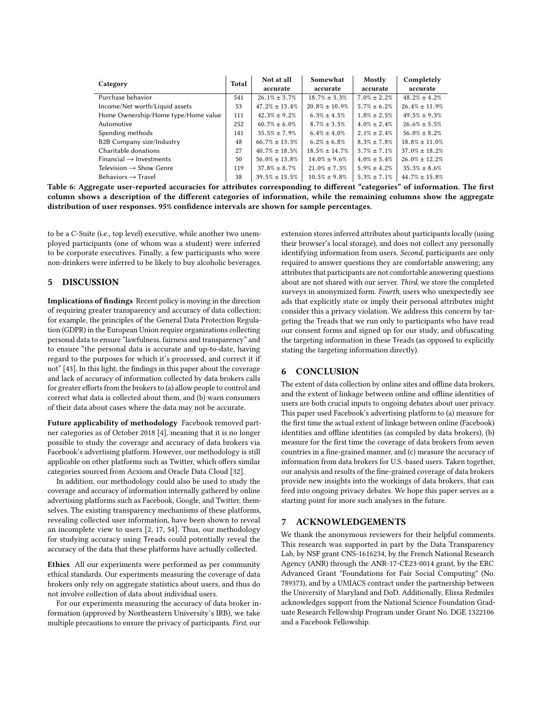<span id="page-9-0"></span>

| Category                            | Total | Not at all<br>accurate | Somewhat<br>accurate | Mostly<br>accurate | Completely<br>accurate |
|-------------------------------------|-------|------------------------|----------------------|--------------------|------------------------|
| Purchase behavior                   | 541   | $26.1\% \pm 3.7\%$     | $18.7\% \pm 3.3\%$   | $7.0\% \pm 2.2\%$  | $48.2\% \pm 4.2\%$     |
| Income/Net worth/Liquid assets      | 53    | $47.2\% \pm 13.4\%$    | $20.8\% \pm 10.9\%$  | $5.7\% \pm 6.2\%$  | $26.4\% \pm 11.9\%$    |
| Home Ownership/Home type/Home value | 111   | $42.3\% \pm 9.2\%$     | $6.3\% \pm 4.5\%$    | $1.8\% \pm 2.5\%$  | $49.5\% \pm 9.3\%$     |
| Automotive                          | 252   | $60.7\% \pm 6.0\%$     | $8.7\% \pm 3.5\%$    | $4.0\% \pm 2.4\%$  | $26.6\% \pm 5.5\%$     |
| Spending methods                    | 141   | $35.5\% \pm 7.9\%$     | $6.4\% \pm 4.0\%$    | $2.1\% \pm 2.4\%$  | $56.0\% \pm 8.2\%$     |
| B2B Company size/Industry           | 48    | $66.7\% \pm 13.3\%$    | $6.2\% \pm 6.8\%$    | $8.3\% \pm 7.8\%$  | $18.8\% \pm 11.0\%$    |
| Charitable donations                | 27    | $40.7\% \pm 18.5\%$    | $18.5\% \pm 14.7\%$  | $3.7\% \pm 7.1\%$  | $37.0\% \pm 18.2\%$    |
| Financial $\rightarrow$ Investments | 50    | $56.0\% \pm 13.8\%$    | $14.0\% \pm 9.6\%$   | $4.0\% \pm 5.4\%$  | $26.0\% \pm 12.2\%$    |
| Television $\rightarrow$ Show Genre | 119   | $37.8\% \pm 8.7\%$     | $21.0\% \pm 7.3\%$   | $5.9\% \pm 4.2\%$  | $35.3\% \pm 8.6\%$     |
| Behaviors $\rightarrow$ Travel      | 38    | $39.5\% \pm 15.5\%$    | $10.5\% \pm 9.8\%$   | $5.3\% \pm 7.1\%$  | $44.7\% \pm 15.8\%$    |

Behaviors <sup>→</sup> Travel <sup>38</sup> <sup>39</sup>.5% <sup>±</sup> <sup>15</sup>.5% <sup>10</sup>.5% <sup>±</sup> <sup>9</sup>.8% <sup>5</sup>.3% <sup>±</sup> <sup>7</sup>.1% <sup>44</sup>.7% <sup>±</sup> <sup>15</sup>.8% Table 6: Aggregate user-reported accuracies for attributes corresponding to different "categories" of information. The first column shows a description of the different categories of information, while the remaining columns show the aggregate distribution of user responses. 95% confidence intervals are shown for sample percentages.

to be a C-Suite (i.e., top level) executive, while another two unemployed participants (one of whom was a student) were inferred to be corporate executives. Finally, a few participants who were non-drinkers were inferred to be likely to buy alcoholic beverages.

#### 5 DISCUSSION

Implications of findings Recent policy is moving in the direction of requiring greater transparency and accuracy of data collection; for example, the principles of the General Data Protection Regulation (GDPR) in the European Union require organizations collecting personal data to ensure "lawfulness, fairness and transparency" and to ensure "the personal data is accurate and up-to-date, having regard to the purposes for which it's processed, and correct it if not" [\[43\]](#page-10-53). In this light, the findings in this paper about the coverage and lack of accuracy of information collected by data brokers calls for greater efforts from the brokers to (a) allow people to control and correct what data is collected about them, and (b) warn consumers of their data about cases where the data may not be accurate.

Future applicability of methodology Facebook removed partner categories as of October 2018 [\[4\]](#page-10-10), meaning that it is no longer possible to study the coverage and accuracy of data brokers via Facebook's advertising platform. However, our methodology is still applicable on other platforms such as Twitter, which offers similar categories sourced from Acxiom and Oracle Data Cloud [\[32\]](#page-10-54).

In addition, our methodology could also be used to study the coverage and accuracy of information internally gathered by online advertising platforms such as Facebook, Google, and Twitter, themselves. The existing transparency mechanisms of these platforms, revealing collected user information, have been shown to reveal an incomplete view to users [\[2,](#page-10-13) [17,](#page-10-37) [54\]](#page-10-55). Thus, our methodology for studying accuracy using Treads could potentially reveal the accuracy of the data that these platforms have actually collected.

Ethics All our experiments were performed as per community ethical standards. Our experiments measuring the coverage of data brokers only rely on aggregate statistics about users, and thus do not involve collection of data about individual users.

For our experiments measuring the accuracy of data broker information (approved by Northeastern University's IRB), we take multiple precautions to ensure the privacy of participants. First, our

extension stores inferred attributes about participants locally (using their browser's local storage), and does not collect any personally identifying information from users. Second, participants are only required to answer questions they are comfortable answering; any attributes that participants are not comfortable answering questions about are not shared with our server. Third, we store the completed surveys in anonymized form. Fourth, users who unexpectedly see ads that explicitly state or imply their personal attributes might consider this a privacy violation. We address this concern by targeting the Treads that we run only to participants who have read our consent forms and signed up for our study, and obfuscating the targeting information in these Treads (as opposed to explicitly stating the targeting information directly).

# 6 CONCLUSION

The extent of data collection by online sites and offline data brokers, and the extent of linkage between online and offline identities of users are both crucial inputs to ongoing debates about user privacy. This paper used Facebook's advertising platform to (a) measure for the first time the actual extent of linkage between online (Facebook) identities and offline identities (as compiled by data brokers), (b) measure for the first time the coverage of data brokers from seven countries in a fine-grained manner, and (c) measure the accuracy of information from data brokers for U.S.-based users. Taken together, our analysis and results of the fine-grained coverage of data brokers provide new insights into the workings of data brokers, that can feed into ongoing privacy debates. We hope this paper serves as a starting point for more such analyses in the future.

#### 7 ACKNOWLEDGEMENTS

We thank the anonymous reviewers for their helpful comments. This research was supported in part by the Data Transparency Lab, by NSF grant CNS-1616234, by the French National Research Agency (ANR) through the ANR-17-CE23-0014 grant, by the ERC Advanced Grant "Foundations for Fair Social Computing" (No. 789373), and by a UMIACS contract under the partnership between the University of Maryland and DoD. Additionally, Elissa Redmiles acknowledges support from the National Science Foundation Graduate Research Fellowship Program under Grant No. DGE 1322106 and a Facebook Fellowship.